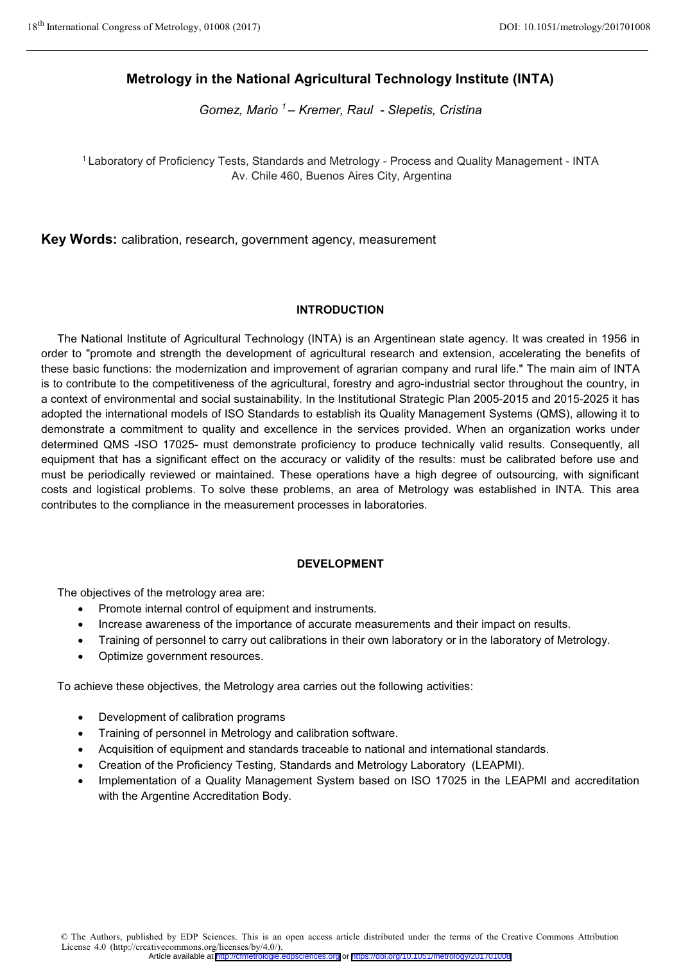# **Metrology in the National Agricultural Technology Institute (INTA)**

*Gomez, Mario 1 – Kremer, Raul - Slepetis, Cristina* 

<sup>1</sup> Laboratory of Proficiency Tests, Standards and Metrology - Process and Quality Management - INTA Av. Chile 460, Buenos Aires City, Argentina

**Key Words:** calibration, research, government agency, measurement

## **INTRODUCTION**

The National Institute of Agricultural Technology (INTA) is an Argentinean state agency. It was created in 1956 in order to "promote and strength the development of agricultural research and extension, accelerating the benefits of these basic functions: the modernization and improvement of agrarian company and rural life." The main aim of INTA is to contribute to the competitiveness of the agricultural, forestry and agro-industrial sector throughout the country, in a context of environmental and social sustainability. In the Institutional Strategic Plan 2005-2015 and 2015-2025 it has adopted the international models of ISO Standards to establish its Quality Management Systems (QMS), allowing it to demonstrate a commitment to quality and excellence in the services provided. When an organization works under determined QMS -ISO 17025- must demonstrate proficiency to produce technically valid results. Consequently, all equipment that has a significant effect on the accuracy or validity of the results: must be calibrated before use and must be periodically reviewed or maintained. These operations have a high degree of outsourcing, with significant costs and logistical problems. To solve these problems, an area of Metrology was established in INTA. This area contributes to the compliance in the measurement processes in laboratories.

## **DEVELOPMENT**

The objectives of the metrology area are:

- -Promote internal control of equipment and instruments.
- -Increase awareness of the importance of accurate measurements and their impact on results.
- -Training of personnel to carry out calibrations in their own laboratory or in the laboratory of Metrology.
- -Optimize government resources.

To achieve these objectives, the Metrology area carries out the following activities:

- -Development of calibration programs
- -Training of personnel in Metrology and calibration software.
- -Acquisition of equipment and standards traceable to national and international standards.
- -Creation of the Proficiency Testing, Standards and Metrology Laboratory (LEAPMI).
- - Implementation of a Quality Management System based on ISO 17025 in the LEAPMI and accreditation with the Argentine Accreditation Body.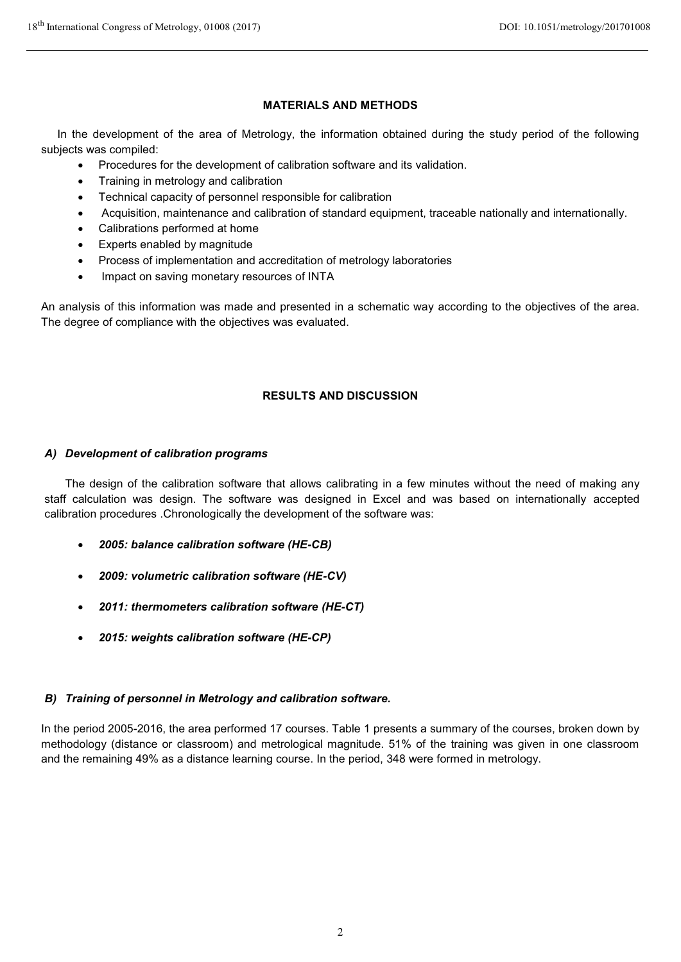## **MATERIALS AND METHODS**

In the development of the area of Metrology, the information obtained during the study period of the following subjects was compiled:

- -Procedures for the development of calibration software and its validation.
- -Training in metrology and calibration
- -Technical capacity of personnel responsible for calibration
- -Acquisition, maintenance and calibration of standard equipment, traceable nationally and internationally.
- -Calibrations performed at home
- -Experts enabled by magnitude
- -Process of implementation and accreditation of metrology laboratories
- -Impact on saving monetary resources of INTA

An analysis of this information was made and presented in a schematic way according to the objectives of the area. The degree of compliance with the objectives was evaluated.

## **RESULTS AND DISCUSSION**

## *A) Development of calibration programs*

The design of the calibration software that allows calibrating in a few minutes without the need of making any staff calculation was design. The software was designed in Excel and was based on internationally accepted calibration procedures .Chronologically the development of the software was:

- -*2005: balance calibration software (HE-CB)*
- -*2009: volumetric calibration software (HE-CV)*
- -*2011: thermometers calibration software (HE-CT)*
- -*2015: weights calibration software (HE-CP)*

## *B) Training of personnel in Metrology and calibration software.*

In the period 2005-2016, the area performed 17 courses. Table 1 presents a summary of the courses, broken down by methodology (distance or classroom) and metrological magnitude. 51% of the training was given in one classroom and the remaining 49% as a distance learning course. In the period, 348 were formed in metrology.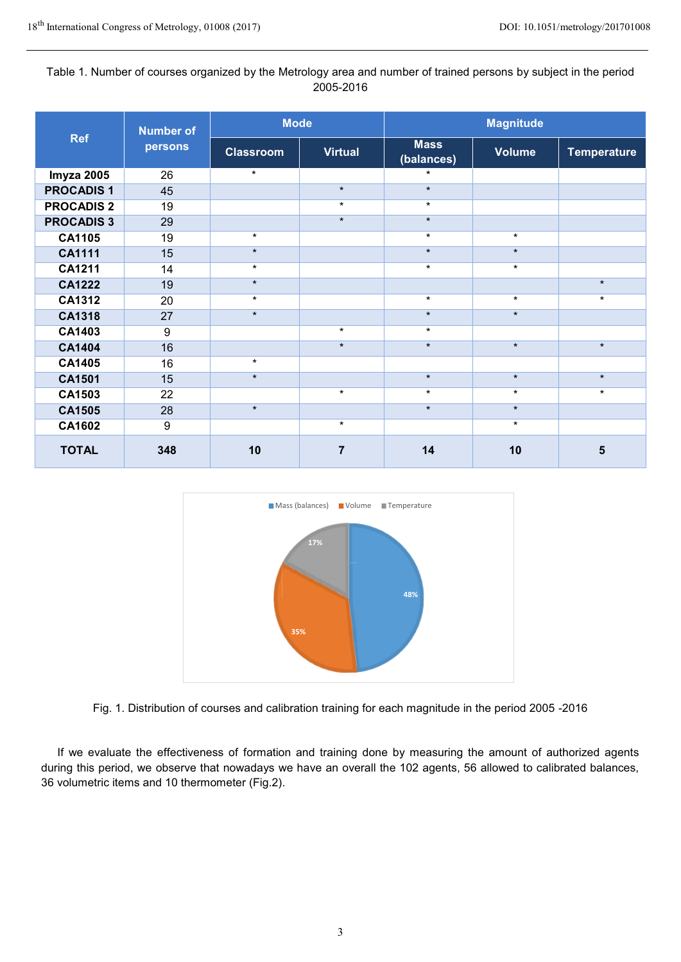## Table 1. Number of courses organized by the Metrology area and number of trained persons by subject in the period 2005-2016

| <b>Ref</b>        | <b>Number of</b><br>persons | <b>Mode</b>      |                | <b>Magnitude</b>          |               |                    |  |
|-------------------|-----------------------------|------------------|----------------|---------------------------|---------------|--------------------|--|
|                   |                             | <b>Classroom</b> | <b>Virtual</b> | <b>Mass</b><br>(balances) | <b>Volume</b> | <b>Temperature</b> |  |
| Imyza 2005        | 26                          | $\star$          |                | $\star$                   |               |                    |  |
| <b>PROCADIS1</b>  | 45                          |                  | $\star$        | $\star$                   |               |                    |  |
| <b>PROCADIS 2</b> | 19                          |                  | $\star$        | $\star$                   |               |                    |  |
| <b>PROCADIS 3</b> | 29                          |                  | $\star$        | $\star$                   |               |                    |  |
| <b>CA1105</b>     | 19                          | $\star$          |                | $\star$                   | $\star$       |                    |  |
| <b>CA1111</b>     | 15                          | $\star$          |                | $\star$                   | $\star$       |                    |  |
| CA1211            | 14                          | $\star$          |                | $\star$                   | $\star$       |                    |  |
| <b>CA1222</b>     | 19                          | $\star$          |                |                           |               | $\star$            |  |
| <b>CA1312</b>     | 20                          | $\star$          |                | $\star$                   | $\star$       | $\star$            |  |
| <b>CA1318</b>     | 27                          | $\star$          |                | $\star$                   | $\star$       |                    |  |
| CA1403            | $\boldsymbol{9}$            |                  | $\star$        | $\star$                   |               |                    |  |
| <b>CA1404</b>     | 16                          |                  | $\star$        | $\star$                   | $\star$       | $\star$            |  |
| <b>CA1405</b>     | 16                          | $\star$          |                |                           |               |                    |  |
| CA1501            | 15                          | $\star$          |                | $\star$                   | $\star$       | $\star$            |  |
| CA1503            | 22                          |                  | $\star$        | $\star$                   | $\star$       | $\star$            |  |
| <b>CA1505</b>     | 28                          | $\star$          |                | $\star$                   | $\star$       |                    |  |
| <b>CA1602</b>     | $\boldsymbol{9}$            |                  | $\star$        |                           | $\star$       |                    |  |
| <b>TOTAL</b>      | 348                         | 10               | 7              | 14                        | 10            | 5                  |  |



Fig. 1. Distribution of courses and calibration training for each magnitude in the period 2005 -2016

If we evaluate the effectiveness of formation and training done by measuring the amount of authorized agents during this period, we observe that nowadays we have an overall the 102 agents, 56 allowed to calibrated balances, 36 volumetric items and 10 thermometer (Fig.2).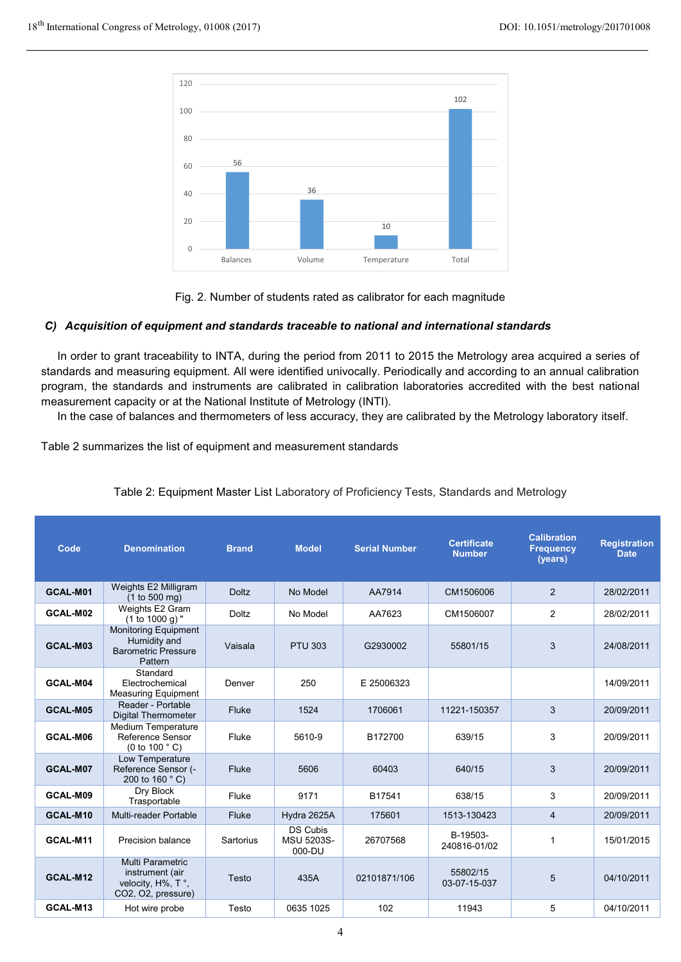

Fig. 2. Number of students rated as calibrator for each magnitude

## *C) Acquisition of equipment and standards traceable to national and international standards*

In order to grant traceability to INTA, during the period from 2011 to 2015 the Metrology area acquired a series of standards and measuring equipment. All were identified univocally. Periodically and according to an annual calibration program, the standards and instruments are calibrated in calibration laboratories accredited with the best national measurement capacity or at the National Institute of Metrology (INTI).

In the case of balances and thermometers of less accuracy, they are calibrated by the Metrology laboratory itself.

Table 2 summarizes the list of equipment and measurement standards

| Code     | <b>Denomination</b>                                                                  | <b>Brand</b> | <b>Model</b>                                   | <b>Serial Number</b> | <b>Certificate</b><br><b>Number</b> | <b>Calibration</b><br><b>Frequency</b><br>(years) | <b>Registration</b><br><b>Date</b> |
|----------|--------------------------------------------------------------------------------------|--------------|------------------------------------------------|----------------------|-------------------------------------|---------------------------------------------------|------------------------------------|
| GCAL-M01 | Weights E2 Milligram<br>(1 to 500 mg)                                                | <b>Doltz</b> | No Model                                       | AA7914               | CM1506006                           | 2                                                 | 28/02/2011                         |
| GCAL-M02 | Weights E2 Gram<br>$(1 to 1000 g)$ "                                                 | Doltz        | No Model                                       | AA7623               | CM1506007                           | 2                                                 | 28/02/2011                         |
| GCAL-M03 | <b>Monitoring Equipment</b><br>Humidity and<br><b>Barometric Pressure</b><br>Pattern | Vaisala      | <b>PTU 303</b>                                 | G2930002             | 55801/15                            | 3                                                 | 24/08/2011                         |
| GCAL-M04 | Standard<br>Electrochemical<br><b>Measuring Equipment</b>                            | Denver       | 250                                            | E 25006323           |                                     |                                                   | 14/09/2011                         |
| GCAL-M05 | Reader - Portable<br><b>Digital Thermometer</b>                                      | Fluke        | 1524                                           | 1706061              | 11221-150357                        | 3                                                 | 20/09/2011                         |
| GCAL-M06 | <b>Medium Temperature</b><br>Reference Sensor<br>(0 to 100 $^{\circ}$ C)             | Fluke        | 5610-9                                         | B172700              | 639/15                              | 3                                                 | 20/09/2011                         |
| GCAL-M07 | Low Temperature<br>Reference Sensor (-<br>200 to 160 °C)                             | Fluke        | 5606                                           | 60403                | 640/15                              | 3                                                 | 20/09/2011                         |
| GCAL-M09 | Dry Block<br>Trasportable                                                            | Fluke        | 9171                                           | B17541               | 638/15                              | 3                                                 | 20/09/2011                         |
| GCAL-M10 | Multi-reader Portable                                                                | Fluke        | Hydra 2625A                                    | 175601               | 1513-130423                         | $\overline{4}$                                    | 20/09/2011                         |
| GCAL-M11 | Precision balance                                                                    | Sartorius    | <b>DS Cubis</b><br><b>MSU 5203S-</b><br>000-DU | 26707568             | B-19503-<br>240816-01/02            | $\mathbf{1}$                                      | 15/01/2015                         |
| GCAL-M12 | Multi Parametric<br>instrument (air<br>velocity, H%, T°,<br>CO2, O2, pressure)       | Testo        | 435A                                           | 02101871/106         | 55802/15<br>03-07-15-037            | 5                                                 | 04/10/2011                         |
| GCAL-M13 | Hot wire probe                                                                       | Testo        | 0635 1025                                      | 102                  | 11943                               | 5                                                 | 04/10/2011                         |

## Table 2: Equipment Master List Laboratory of Proficiency Tests, Standards and Metrology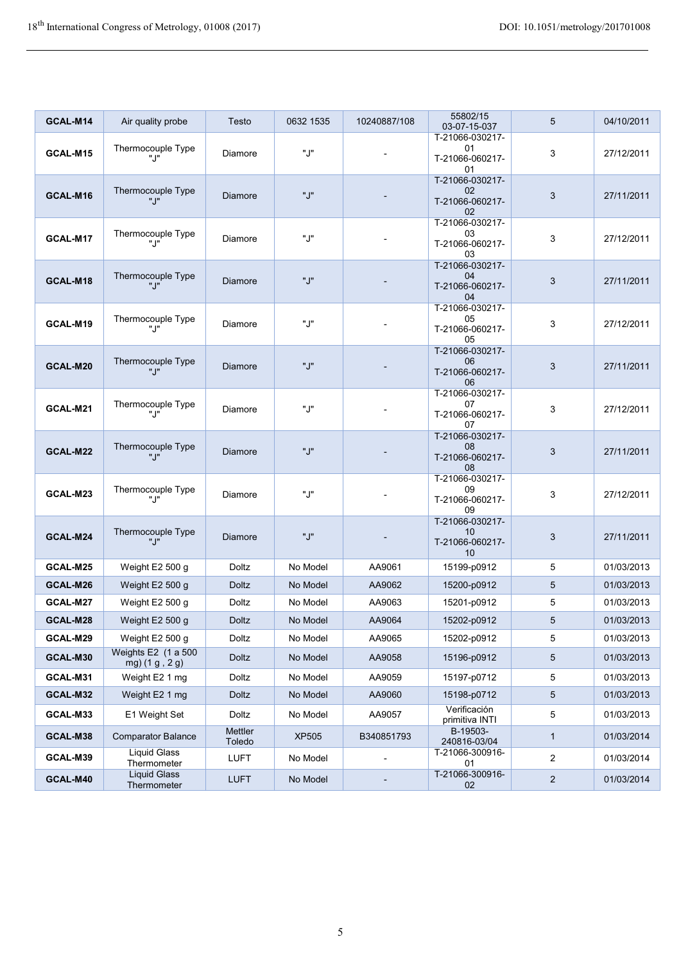| GCAL-M14        | Air quality probe                     | Testo                    | 0632 1535    | 10240887/108 | 55802/15<br>03-07-15-037                       | 5              | 04/10/2011 |
|-----------------|---------------------------------------|--------------------------|--------------|--------------|------------------------------------------------|----------------|------------|
| GCAL-M15        | Thermocouple Type<br>". ו             | Diamore                  | ".J"         |              | T-21066-030217-<br>01<br>T-21066-060217-<br>01 | 3              | 27/12/2011 |
| GCAL-M16        | Thermocouple Type<br>".ו"             | Diamore                  | ".J"         |              | T-21066-030217-<br>02<br>T-21066-060217-<br>02 | 3              | 27/11/2011 |
| GCAL-M17        | Thermocouple Type<br>".ו"             | Diamore                  | "J"          |              | T-21066-030217-<br>03<br>T-21066-060217-<br>03 | 3              | 27/12/2011 |
| GCAL-M18        | Thermocouple Type<br>"J"              | Diamore                  | ".J"         |              | T-21066-030217-<br>04<br>T-21066-060217-<br>04 | 3              | 27/11/2011 |
| GCAL-M19        | Thermocouple Type<br>". ו             | Diamore                  | "J"          |              | T-21066-030217-<br>05<br>T-21066-060217-<br>05 | 3              | 27/12/2011 |
| GCAL-M20        | Thermocouple Type<br>"J"              | <b>Diamore</b>           | "J"          |              | T-21066-030217-<br>06<br>T-21066-060217-<br>06 | 3              | 27/11/2011 |
| GCAL-M21        | Thermocouple Type<br>".ו"             | Diamore                  | "J"          |              | T-21066-030217-<br>07<br>T-21066-060217-<br>07 | 3              | 27/12/2011 |
| GCAL-M22        | Thermocouple Type<br>"J"              | Diamore                  | ".J"         |              | T-21066-030217-<br>08<br>T-21066-060217-<br>08 | 3              | 27/11/2011 |
| GCAL-M23        | Thermocouple Type<br>".ו"             | Diamore                  | ".J"         |              | T-21066-030217-<br>09<br>T-21066-060217-<br>09 | 3              | 27/12/2011 |
| GCAL-M24        | Thermocouple Type<br>".J"             | Diamore                  | ".J"         |              | T-21066-030217-<br>10<br>T-21066-060217-<br>10 | 3              | 27/11/2011 |
| GCAL-M25        | Weight E2 500 g                       | <b>Doltz</b>             | No Model     | AA9061       | 15199-p0912                                    | 5              | 01/03/2013 |
| GCAL-M26        | Weight E2 500 g                       | <b>Doltz</b>             | No Model     | AA9062       | 15200-p0912                                    | $\overline{5}$ | 01/03/2013 |
| <b>GCAL-M27</b> | Weight E2 500 g                       | Doltz                    | No Model     | AA9063       | 15201-p0912                                    | 5              | 01/03/2013 |
| GCAL-M28        | Weight E2 500 g                       | <b>Doltz</b>             | No Model     | AA9064       | 15202-p0912                                    | 5              | 01/03/2013 |
| GCAL-M29        | Weight $E2$ 500 g                     | Doltz                    | No Model     | AA9065       | 15202-p0912                                    | 5              | 01/03/2013 |
| GCAL-M30        | Weights E2 (1 a 500<br>mg) (1 g, 2 g) | <b>Doltz</b>             | No Model     | AA9058       | 15196-p0912                                    | $\sqrt{5}$     | 01/03/2013 |
| GCAL-M31        | Weight E2 1 mg                        | Doltz                    | No Model     | AA9059       | 15197-p0712                                    | 5              | 01/03/2013 |
| GCAL-M32        | Weight E2 1 mg                        | <b>Doltz</b>             | No Model     | AA9060       | 15198-p0712                                    | 5              | 01/03/2013 |
| GCAL-M33        | E1 Weight Set                         | Doltz                    | No Model     | AA9057       | Verificación<br>primitiva INTI                 | $\overline{5}$ | 01/03/2013 |
| GCAL-M38        | <b>Comparator Balance</b>             | <b>Mettler</b><br>Toledo | <b>XP505</b> | B340851793   | B-19503-<br>240816-03/04                       | $\mathbf{1}$   | 01/03/2014 |
| GCAL-M39        | <b>Liquid Glass</b><br>Thermometer    | <b>LUFT</b>              | No Model     |              | T-21066-300916-<br>01                          | $\overline{2}$ | 01/03/2014 |
| GCAL-M40        | <b>Liquid Glass</b><br>Thermometer    | <b>LUFT</b>              | No Model     |              | T-21066-300916-<br>02                          | $\sqrt{2}$     | 01/03/2014 |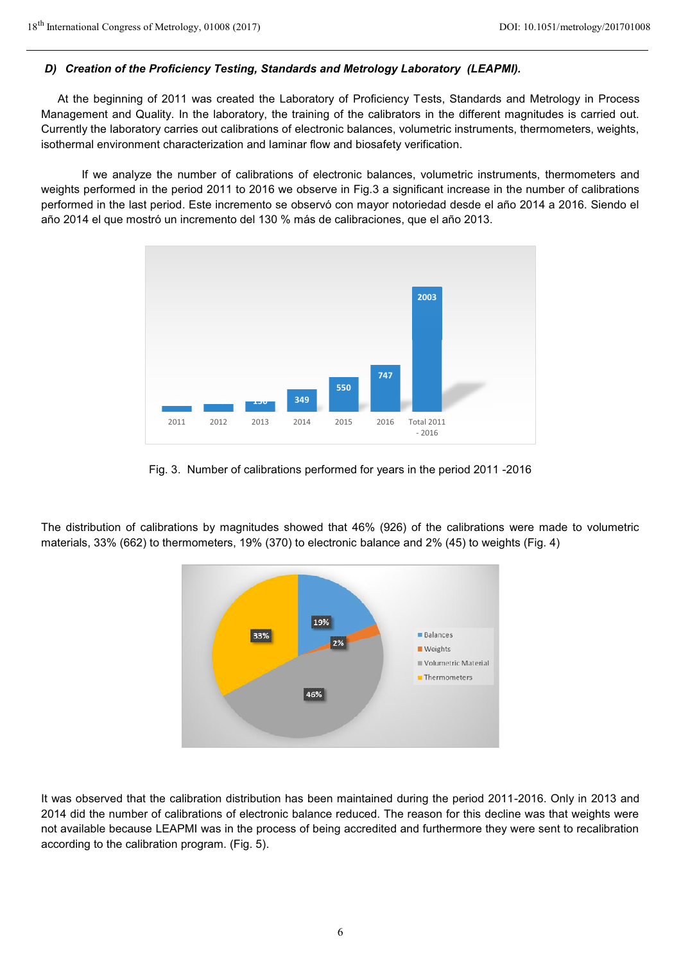#### *D) Creation of the Proficiency Testing, Standards and Metrology Laboratory (LEAPMI).*

At the beginning of 2011 was created the Laboratory of Proficiency Tests, Standards and Metrology in Process Management and Quality. In the laboratory, the training of the calibrators in the different magnitudes is carried out. Currently the laboratory carries out calibrations of electronic balances, volumetric instruments, thermometers, weights, isothermal environment characterization and laminar flow and biosafety verification.

 If we analyze the number of calibrations of electronic balances, volumetric instruments, thermometers and weights performed in the period 2011 to 2016 we observe in Fig.3 a significant increase in the number of calibrations performed in the last period. Este incremento se observó con mayor notoriedad desde el año 2014 a 2016. Siendo el año 2014 el que mostró un incremento del 130 % más de calibraciones, que el año 2013.



Fig. 3. Number of calibrations performed for years in the period 2011 -2016

The distribution of calibrations by magnitudes showed that 46% (926) of the calibrations were made to volumetric materials, 33% (662) to thermometers, 19% (370) to electronic balance and 2% (45) to weights (Fig. 4)



It was observed that the calibration distribution has been maintained during the period 2011-2016. Only in 2013 and 2014 did the number of calibrations of electronic balance reduced. The reason for this decline was that weights were not available because LEAPMI was in the process of being accredited and furthermore they were sent to recalibration according to the calibration program. (Fig. 5).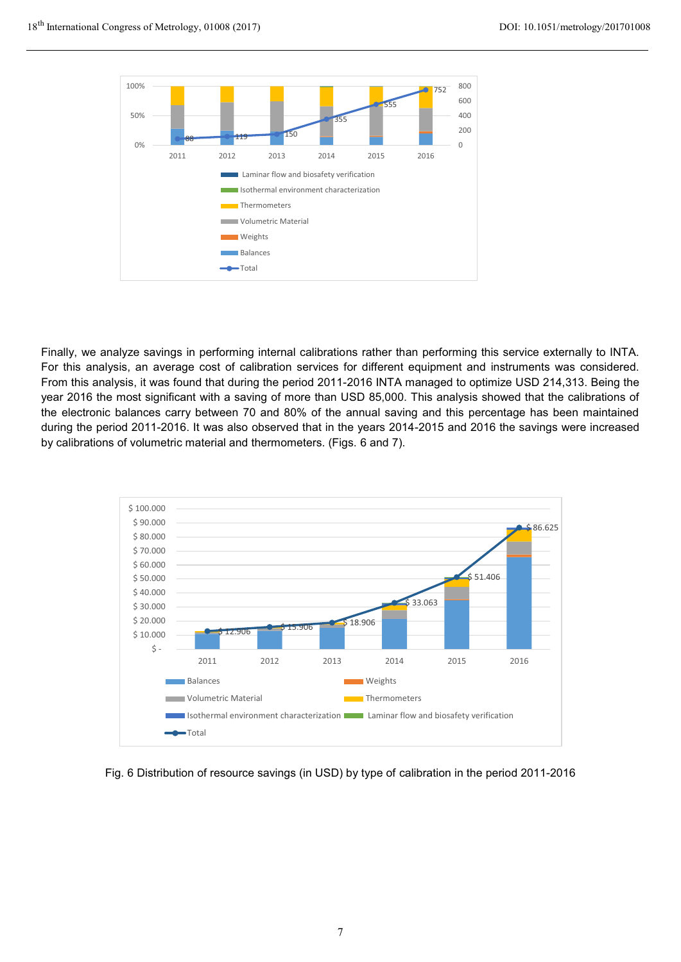

Finally, we analyze savings in performing internal calibrations rather than performing this service externally to INTA. For this analysis, an average cost of calibration services for different equipment and instruments was considered. From this analysis, it was found that during the period 2011-2016 INTA managed to optimize USD 214,313. Being the year 2016 the most significant with a saving of more than USD 85,000. This analysis showed that the calibrations of the electronic balances carry between 70 and 80% of the annual saving and this percentage has been maintained during the period 2011-2016. It was also observed that in the years 2014-2015 and 2016 the savings were increased by calibrations of volumetric material and thermometers. (Figs. 6 and 7).



Fig. 6 Distribution of resource savings (in USD) by type of calibration in the period 2011-2016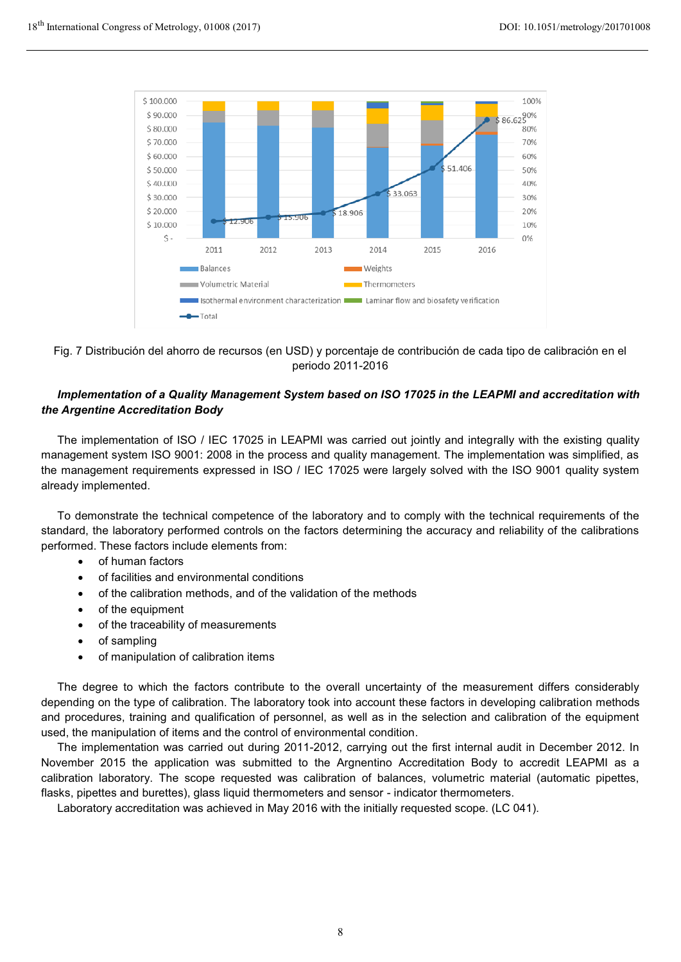

Fig. 7 Distribución del ahorro de recursos (en USD) y porcentaje de contribución de cada tipo de calibración en el periodo 2011-2016

## *Implementation of a Quality Management System based on ISO 17025 in the LEAPMI and accreditation with the Argentine Accreditation Body*

The implementation of ISO / IEC 17025 in LEAPMI was carried out jointly and integrally with the existing quality management system ISO 9001: 2008 in the process and quality management. The implementation was simplified, as the management requirements expressed in ISO / IEC 17025 were largely solved with the ISO 9001 quality system already implemented.

To demonstrate the technical competence of the laboratory and to comply with the technical requirements of the standard, the laboratory performed controls on the factors determining the accuracy and reliability of the calibrations performed. These factors include elements from:

- of human factors
- of facilities and environmental conditions
- of the calibration methods, and of the validation of the methods
- of the equipment
- of the traceability of measurements
- of sampling
- of manipulation of calibration items

The degree to which the factors contribute to the overall uncertainty of the measurement differs considerably depending on the type of calibration. The laboratory took into account these factors in developing calibration methods and procedures, training and qualification of personnel, as well as in the selection and calibration of the equipment used, the manipulation of items and the control of environmental condition.

The implementation was carried out during 2011-2012, carrying out the first internal audit in December 2012. In November 2015 the application was submitted to the Argnentino Accreditation Body to accredit LEAPMI as a calibration laboratory. The scope requested was calibration of balances, volumetric material (automatic pipettes, flasks, pipettes and burettes), glass liquid thermometers and sensor - indicator thermometers.

Laboratory accreditation was achieved in May 2016 with the initially requested scope. (LC 041).